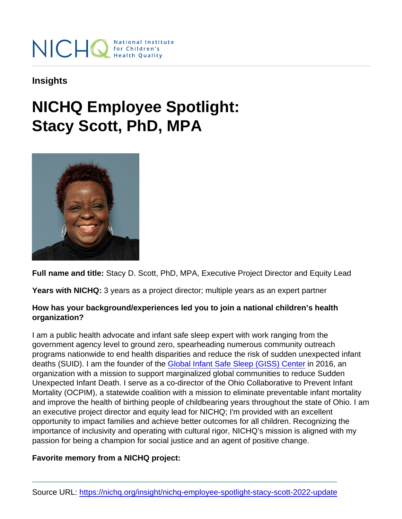Insights

## NICHQ Employee Spotlight: Stacy Scott, PhD, MPA

Full name and title: Stacy D. Scott, PhD, MPA, Executive Project Director and Equity Lead

Years with NICHQ: 3 years as a project director; multiple years as an expert partner

How has your background/experiences led you to join a national children's health organization?

I am a public health advocate and infant safe sleep expert with work ranging from the government agency level to ground zero, spearheading numerous community outreach programs nationwide to end health disparities and reduce the risk of sudden unexpected infant deaths (SUID). I am the founder of the [Global Infant Safe Sleep \(GISS\) Center](https://www.gisscenter.org/) in 2016, an organization with a mission to support marginalized global communities to reduce Sudden Unexpected Infant Death. I serve as a co-director of the Ohio Collaborative to Prevent Infant Mortality (OCPIM), a statewide coalition with a mission to eliminate preventable infant mortality and improve the health of birthing people of childbearing years throughout the state of Ohio. I am an executive project director and equity lead for NICHQ; I'm provided with an excellent opportunity to impact families and achieve better outcomes for all children. Recognizing the importance of inclusivity and operating with cultural rigor, NICHQ's mission is aligned with my passion for being a champion for social justice and an agent of positive change.

Favorite memory from a NICHQ project: